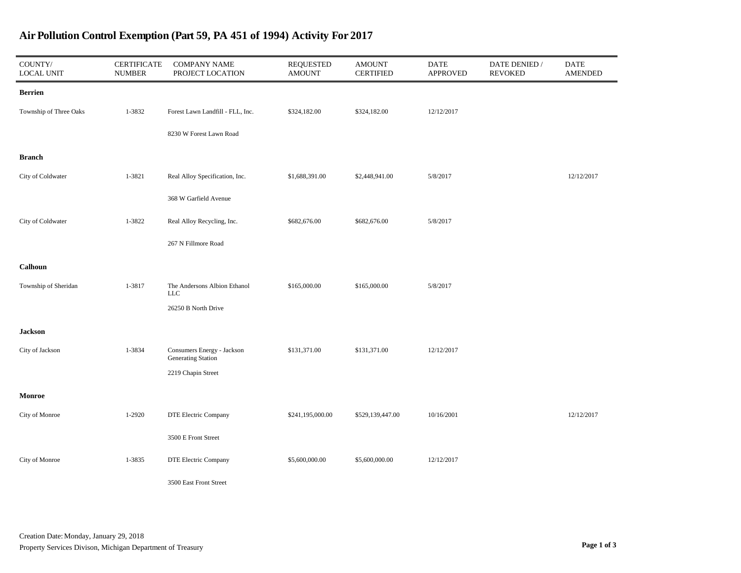| $\text{COUNTY}/$<br><b>LOCAL UNIT</b> | CERTIFICATE<br><b>NUMBER</b> | <b>COMPANY NAME</b><br>PROJECT LOCATION          | <b>REQUESTED</b><br><b>AMOUNT</b> | AMOUNT<br><b>CERTIFIED</b> | <b>DATE</b><br><b>APPROVED</b> | DATE DENIED /<br><b>REVOKED</b> | <b>DATE</b><br><b>AMENDED</b> |
|---------------------------------------|------------------------------|--------------------------------------------------|-----------------------------------|----------------------------|--------------------------------|---------------------------------|-------------------------------|
| Berrien                               |                              |                                                  |                                   |                            |                                |                                 |                               |
| Township of Three Oaks                | 1-3832                       | Forest Lawn Landfill - FLL, Inc.                 | \$324,182.00                      | \$324,182.00               | 12/12/2017                     |                                 |                               |
|                                       |                              | 8230 W Forest Lawn Road                          |                                   |                            |                                |                                 |                               |
| Branch                                |                              |                                                  |                                   |                            |                                |                                 |                               |
| City of Coldwater                     | 1-3821                       | Real Alloy Specification, Inc.                   | \$1,688,391.00                    | \$2,448,941.00             | 5/8/2017                       |                                 | 12/12/2017                    |
|                                       |                              | 368 W Garfield Avenue                            |                                   |                            |                                |                                 |                               |
| City of Coldwater                     | 1-3822                       | Real Alloy Recycling, Inc.                       | \$682,676.00                      | \$682,676.00               | 5/8/2017                       |                                 |                               |
|                                       |                              | 267 N Fillmore Road                              |                                   |                            |                                |                                 |                               |
| Calhoun                               |                              |                                                  |                                   |                            |                                |                                 |                               |
| Township of Sheridan                  | 1-3817                       | The Andersons Albion Ethanol<br>$_{\rm LLC}$     | \$165,000.00                      | \$165,000.00               | 5/8/2017                       |                                 |                               |
|                                       |                              | 26250 B North Drive                              |                                   |                            |                                |                                 |                               |
| Jackson                               |                              |                                                  |                                   |                            |                                |                                 |                               |
| City of Jackson                       | 1-3834                       | Consumers Energy - Jackson<br>Generating Station | \$131,371.00                      | \$131,371.00               | 12/12/2017                     |                                 |                               |
|                                       |                              | 2219 Chapin Street                               |                                   |                            |                                |                                 |                               |
| Monroe                                |                              |                                                  |                                   |                            |                                |                                 |                               |
| City of Monroe                        | 1-2920                       | DTE Electric Company                             | \$241,195,000.00                  | \$529,139,447.00           | 10/16/2001                     |                                 | 12/12/2017                    |
|                                       |                              | 3500 E Front Street                              |                                   |                            |                                |                                 |                               |
| City of Monroe                        | 1-3835                       | DTE Electric Company                             | \$5,600,000.00                    | \$5,600,000.00             | 12/12/2017                     |                                 |                               |
|                                       |                              | 3500 East Front Street                           |                                   |                            |                                |                                 |                               |

## Air Pollution Control Exemption (Part 59, PA 451 of 1994) Activity For 2017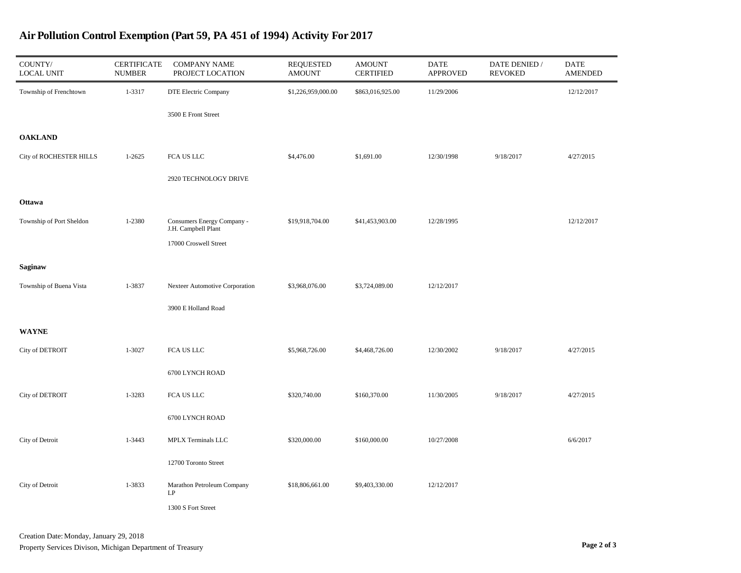| COUNTY/<br><b>LOCAL UNIT</b> | <b>CERTIFICATE</b><br><b>NUMBER</b> | <b>COMPANY NAME</b><br>PROJECT LOCATION              | <b>REQUESTED</b><br><b>AMOUNT</b> | <b>AMOUNT</b><br><b>CERTIFIED</b> | <b>DATE</b><br><b>APPROVED</b> | DATE DENIED /<br><b>REVOKED</b> | <b>DATE</b><br><b>AMENDED</b> |
|------------------------------|-------------------------------------|------------------------------------------------------|-----------------------------------|-----------------------------------|--------------------------------|---------------------------------|-------------------------------|
| Township of Frenchtown       | 1-3317                              | DTE Electric Company                                 | \$1,226,959,000.00                | \$863,016,925.00                  | 11/29/2006                     |                                 | 12/12/2017                    |
|                              |                                     | 3500 E Front Street                                  |                                   |                                   |                                |                                 |                               |
| <b>OAKLAND</b>               |                                     |                                                      |                                   |                                   |                                |                                 |                               |
| City of ROCHESTER HILLS      | $1 - 2625$                          | FCA US LLC                                           | \$4,476.00                        | \$1,691.00                        | 12/30/1998                     | 9/18/2017                       | 4/27/2015                     |
|                              |                                     | 2920 TECHNOLOGY DRIVE                                |                                   |                                   |                                |                                 |                               |
| Ottawa                       |                                     |                                                      |                                   |                                   |                                |                                 |                               |
| Township of Port Sheldon     | 1-2380                              | Consumers Energy Company -<br>J.H. Campbell Plant    | \$19,918,704.00                   | \$41,453,903.00                   | 12/28/1995                     |                                 | 12/12/2017                    |
|                              |                                     | 17000 Croswell Street                                |                                   |                                   |                                |                                 |                               |
| Saginaw                      |                                     |                                                      |                                   |                                   |                                |                                 |                               |
| Township of Buena Vista      | 1-3837                              | Nexteer Automotive Corporation                       | \$3,968,076.00                    | \$3,724,089.00                    | 12/12/2017                     |                                 |                               |
|                              |                                     | 3900 E Holland Road                                  |                                   |                                   |                                |                                 |                               |
| WAYNE                        |                                     |                                                      |                                   |                                   |                                |                                 |                               |
| City of DETROIT              | 1-3027                              | FCA US LLC                                           | \$5,968,726.00                    | \$4,468,726.00                    | 12/30/2002                     | 9/18/2017                       | 4/27/2015                     |
|                              |                                     | 6700 LYNCH ROAD                                      |                                   |                                   |                                |                                 |                               |
| City of DETROIT              | 1-3283                              | FCA US LLC                                           | \$320,740.00                      | \$160,370.00                      | 11/30/2005                     | 9/18/2017                       | 4/27/2015                     |
|                              |                                     | 6700 LYNCH ROAD                                      |                                   |                                   |                                |                                 |                               |
| City of Detroit              | 1-3443                              | MPLX Terminals LLC                                   | \$320,000.00                      | \$160,000.00                      | 10/27/2008                     |                                 | 6/6/2017                      |
|                              |                                     | 12700 Toronto Street                                 |                                   |                                   |                                |                                 |                               |
| City of Detroit              | 1-3833                              | Marathon Petroleum Company<br>$\mathrm{L}\mathrm{P}$ | \$18,806,661.00                   | \$9,403,330.00                    | 12/12/2017                     |                                 |                               |
|                              |                                     | 1300 S Fort Street                                   |                                   |                                   |                                |                                 |                               |

## Air Pollution Control Exemption (Part 59, PA 451 of 1994) Activity For 2017